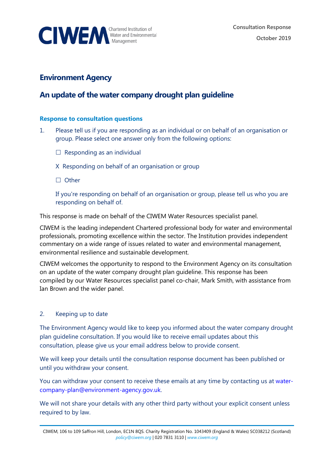

## **Environment Agency**

# **An update of the water company drought plan guideline**

#### **Response to consultation questions**

- 1. Please tell us if you are responding as an individual or on behalf of an organisation or group. Please select one answer only from the following options:
	- $\Box$  Responding as an individual
	- X Responding on behalf of an organisation or group
	- □ Other

If you're responding on behalf of an organisation or group, please tell us who you are responding on behalf of.

This response is made on behalf of the CIWEM Water Resources specialist panel.

CIWEM is the leading independent Chartered professional body for water and environmental professionals, promoting excellence within the sector. The Institution provides independent commentary on a wide range of issues related to water and environmental management, environmental resilience and sustainable development.

CIWEM welcomes the opportunity to respond to the Environment Agency on its consultation on an update of the water company drought plan guideline. This response has been compiled by our Water Resources specialist panel co-chair, Mark Smith, with assistance from Ian Brown and the wider panel.

## 2. Keeping up to date

The Environment Agency would like to keep you informed about the water company drought plan guideline consultation. If you would like to receive email updates about this consultation, please give us your email address below to provide consent.

We will keep your details until the consultation response document has been published or until you withdraw your consent.

You can withdraw your consent to receive these emails at any time by contacting us at [water](mailto:water-company-plan@environment-agency.gov.uk)[company-plan@environment-agency.gov.uk.](mailto:water-company-plan@environment-agency.gov.uk)

We will not share your details with any other third party without your explicit consent unless required to by law.

CIWEM, 106 to 109 Saffron Hill, London, EC1N 8QS. Charity Registration No. 1043409 (England & Wales) SC038212 (Scotland) *[policy@ciwem.org](mailto:policy@ciwem.org)* | 020 7831 3110 | *[www.ciwem.org](http://www.ciwem.org/)*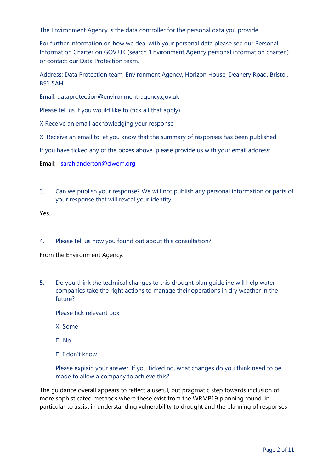The Environment Agency is the data controller for the personal data you provide.

For further information on how we deal with your personal data please see our Personal Information Charter on GOV.UK (search 'Environment Agency personal information charter') or contact our Data Protection team.

Address: Data Protection team, Environment Agency, Horizon House, Deanery Road, Bristol, BS1 5AH

Email: dataprotection@environment-agency.gov.uk

Please tell us if you would like to (tick all that apply)

X Receive an email acknowledging your response

X Receive an email to let you know that the summary of responses has been published

If you have ticked any of the boxes above, please provide us with your email address:

Email: [sarah.anderton@ciwem.org](mailto:sarah.anderton@ciwem.org)

3. Can we publish your response? We will not publish any personal information or parts of your response that will reveal your identity.

Yes.

#### 4. Please tell us how you found out about this consultation?

From the Environment Agency.

5. Do you think the technical changes to this drought plan guideline will help water companies take the right actions to manage their operations in dry weather in the future?

Please tick relevant box

- X Some
- No
- I don't know

Please explain your answer. If you ticked no, what changes do you think need to be made to allow a company to achieve this?

The guidance overall appears to reflect a useful, but pragmatic step towards inclusion of more sophisticated methods where these exist from the WRMP19 planning round, in particular to assist in understanding vulnerability to drought and the planning of responses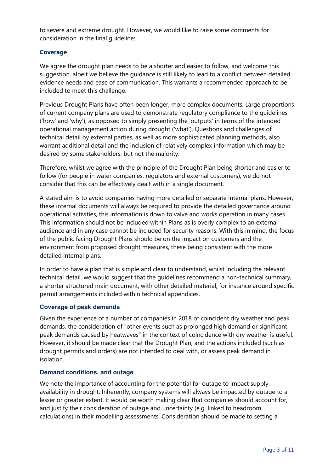to severe and extreme drought. However, we would like to raise some comments for consideration in the final guideline:

#### **Coverage**

We agree the drought plan needs to be a shorter and easier to follow, and welcome this suggestion, albeit we believe the guidance is still likely to lead to a conflict between detailed evidence needs and ease of communication. This warrants a recommended approach to be included to meet this challenge.

Previous Drought Plans have often been longer, more complex documents. Large proportions of current company plans are used to demonstrate regulatory compliance to the guidelines ('how' and 'why'), as opposed to simply presenting the 'outputs' in terms of the intended operational management action during drought ('what'). Questions and challenges of technical detail by external parties, as well as more sophisticated planning methods, also warrant additional detail and the inclusion of relatively complex information which may be desired by some stakeholders, but not the majority.

Therefore, whilst we agree with the principle of the Drought Plan being shorter and easier to follow (for people in water companies, regulators and external customers), we do not consider that this can be effectively dealt with in a single document.

A stated aim is to avoid companies having more detailed or separate internal plans. However, these internal documents will always be required to provide the detailed governance around operational activities, this information is down to valve and works operation in many cases. This information should not be included within Plans as is overly complex to an external audience and in any case cannot be included for security reasons. With this in mind, the focus of the public facing Drought Plans should be on the impact on customers and the environment from proposed drought measures, these being consistent with the more detailed internal plans.

In order to have a plan that is simple and clear to understand, whilst including the relevant technical detail, we would suggest that the guidelines recommend a non-technical summary, a shorter structured main document, with other detailed material, for instance around specific permit arrangements included within technical appendices.

#### **Coverage of peak demands**

Given the experience of a number of companies in 2018 of coincident dry weather and peak demands, the consideration of "other events such as prolonged high demand or significant peak demands caused by heatwaves" in the context of coincidence with dry weather is useful. However, it should be made clear that the Drought Plan, and the actions included (such as drought permits and orders) are not intended to deal with, or assess peak demand in isolation.

#### **Demand conditions, and outage**

We note the importance of accounting for the potential for outage to impact supply availability in drought. Inherently, company systems will always be impacted by outage to a lesser or greater extent. It would be worth making clear that companies should account for, and justify their consideration of outage and uncertainty (e.g. linked to headroom calculations) in their modelling assessments. Consideration should be made to setting a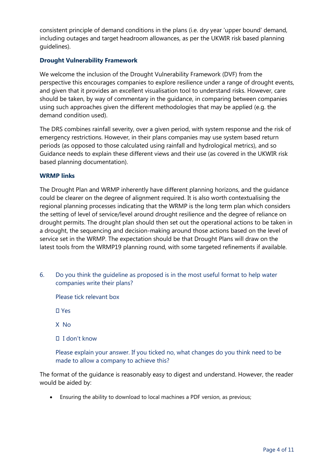consistent principle of demand conditions in the plans (i.e. dry year 'upper bound' demand, including outages and target headroom allowances, as per the UKWIR risk based planning guidelines).

## **Drought Vulnerability Framework**

We welcome the inclusion of the Drought Vulnerability Framework (DVF) from the perspective this encourages companies to explore resilience under a range of drought events, and given that it provides an excellent visualisation tool to understand risks. However, care should be taken, by way of commentary in the guidance, in comparing between companies using such approaches given the different methodologies that may be applied (e.g. the demand condition used).

The DRS combines rainfall severity, over a given period, with system response and the risk of emergency restrictions. However, in their plans companies may use system based return periods (as opposed to those calculated using rainfall and hydrological metrics), and so Guidance needs to explain these different views and their use (as covered in the UKWIR risk based planning documentation).

## **WRMP links**

The Drought Plan and WRMP inherently have different planning horizons, and the guidance could be clearer on the degree of alignment required. It is also worth contextualising the regional planning processes indicating that the WRMP is the long term plan which considers the setting of level of service/level around drought resilience and the degree of reliance on drought permits. The drought plan should then set out the operational actions to be taken in a drought, the sequencing and decision-making around those actions based on the level of service set in the WRMP. The expectation should be that Drought Plans will draw on the latest tools from the WRMP19 planning round, with some targeted refinements if available.

6. Do you think the guideline as proposed is in the most useful format to help water companies write their plans?

Please tick relevant box

Yes

X No

I don't know

Please explain your answer. If you ticked no, what changes do you think need to be made to allow a company to achieve this?

The format of the guidance is reasonably easy to digest and understand. However, the reader would be aided by:

• Ensuring the ability to download to local machines a PDF version, as previous;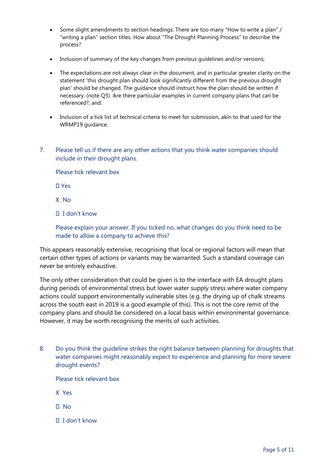- Some slight amendments to section headings. There are too many "How to write a plan" / "writing a plan" section titles. How about "The Drought Planning Process" to describe the process?
- Inclusion of summary of the key changes from previous guidelines and/or versions;
- The expectations are not always clear in the document, and in particular greater clarity on the statement 'this drought plan should look significantly different from the previous drought plan' should be changed. The guidance should instruct how the plan should be written if necessary. (note Q5). Are there particular examples in current company plans that can be referenced?; and:
- Inclusion of a tick list of technical criteria to meet for submission, akin to that used for the WRMP19 guidance.
- 7. Please tell us if there are any other actions that you think water companies should include in their drought plans.

Please tick relevant box

Yes

- X No
- I don't know

Please explain your answer. If you ticked no, what changes do you think need to be made to allow a company to achieve this?

This appears reasonably extensive, recognising that local or regional factors will mean that certain other types of actions or variants may be warranted. Such a standard coverage can never be entirely exhaustive.

The only other consideration that could be given is to the interface with EA drought plans during periods of environmental stress but lower water supply stress where water company actions could support environmentally vulnerable sites (e.g. the drying up of chalk streams across the south east in 2019 is a good example of this). This is not the core remit of the company plans and should be considered on a local basis within environmental governance. However, it may be worth recognising the merits of such activities.

8. Do you think the guideline strikes the right balance between planning for droughts that water companies might reasonably expect to experience and planning for more severe drought events?

Please tick relevant box

- X Yes
- $\Pi$  No
- I don't know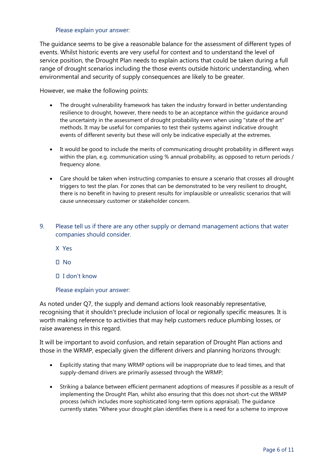#### Please explain your answer:

The guidance seems to be give a reasonable balance for the assessment of different types of events. Whilst historic events are very useful for context and to understand the level of service position, the Drought Plan needs to explain actions that could be taken during a full range of drought scenarios including the those events outside historic understanding, when environmental and security of supply consequences are likely to be greater.

However, we make the following points:

- The drought vulnerability framework has taken the industry forward in better understanding resilience to drought, however, there needs to be an acceptance within the guidance around the uncertainty in the assessment of drought probability even when using "state of the art" methods. It may be useful for companies to test their systems against indicative drought events of different severity but these will only be indicative especially at the extremes.
- It would be good to include the merits of communicating drought probability in different ways within the plan, e.g. communication using % annual probability, as opposed to return periods / frequency alone.
- Care should be taken when instructing companies to ensure a scenario that crosses all drought triggers to test the plan. For zones that can be demonstrated to be very resilient to drought, there is no benefit in having to present results for implausible or unrealistic scenarios that will cause unnecessary customer or stakeholder concern.
- 9. Please tell us if there are any other supply or demand management actions that water companies should consider.
	- X Yes
	- $\Box$  No
	- I don't know

#### Please explain your answer:

As noted under Q7, the supply and demand actions look reasonably representative, recognising that it shouldn't preclude inclusion of local or regionally specific measures. It is worth making reference to activities that may help customers reduce plumbing losses, or raise awareness in this regard.

It will be important to avoid confusion, and retain separation of Drought Plan actions and those in the WRMP, especially given the different drivers and planning horizons through:

- Explicitly stating that many WRMP options will be inappropriate due to lead times, and that supply-demand drivers are primarily assessed through the WRMP;
- Striking a balance between efficient permanent adoptions of measures if possible as a result of implementing the Drought Plan, whilst also ensuring that this does not short-cut the WRMP process (which includes more sophisticated long-term options appraisal). The guidance currently states "Where your drought plan identifies there is a need for a scheme to improve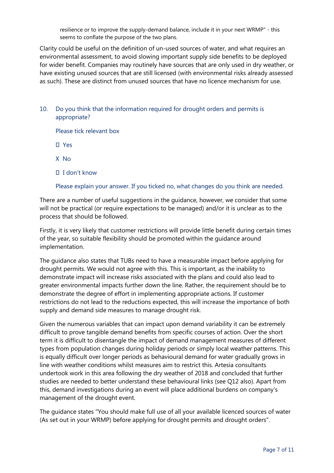resilience or to improve the supply-demand balance, include it in your next WRMP" - this seems to conflate the purpose of the two plans.

Clarity could be useful on the definition of un-used sources of water, and what requires an environmental assessment, to avoid slowing important supply side benefits to be deployed for wider benefit. Companies may routinely have sources that are only used in dry weather, or have existing unused sources that are still licensed (with environmental risks already assessed as such). These are distinct from unused sources that have no licence mechanism for use.

10. Do you think that the information required for drought orders and permits is appropriate?

Please tick relevant box

Yes

X No

I don't know

Please explain your answer. If you ticked no, what changes do you think are needed.

There are a number of useful suggestions in the guidance, however, we consider that some will not be practical (or require expectations to be managed) and/or it is unclear as to the process that should be followed.

Firstly, it is very likely that customer restrictions will provide little benefit during certain times of the year, so suitable flexibility should be promoted within the guidance around implementation.

The guidance also states that TUBs need to have a measurable impact before applying for drought permits. We would not agree with this. This is important, as the inability to demonstrate impact will increase risks associated with the plans and could also lead to greater environmental impacts further down the line. Rather, the requirement should be to demonstrate the degree of effort in implementing appropriate actions. If customer restrictions do not lead to the reductions expected, this will increase the importance of both supply and demand side measures to manage drought risk.

Given the numerous variables that can impact upon demand variability it can be extremely difficult to prove tangible demand benefits from specific courses of action. Over the short term it is difficult to disentangle the impact of demand management measures of different types from population changes during holiday periods or simply local weather patterns. This is equally difficult over longer periods as behavioural demand for water gradually grows in line with weather conditions whilst measures aim to restrict this. Artesia consultants undertook work in this area following the dry weather of 2018 and concluded that further studies are needed to better understand these behavioural links (see Q12 also). Apart from this, demand investigations during an event will place additional burdens on company's management of the drought event.

The guidance states "You should make full use of all your available licenced sources of water (As set out in your WRMP) before applying for drought permits and drought orders".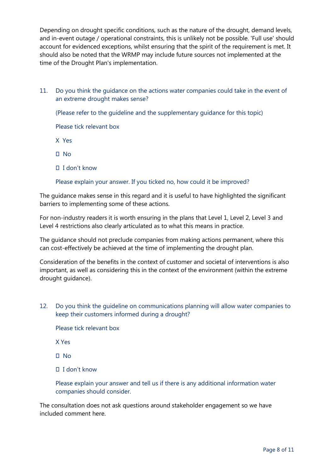Depending on drought specific conditions, such as the nature of the drought, demand levels, and in-event outage / operational constraints, this is unlikely not be possible. 'Full use' should account for evidenced exceptions, whilst ensuring that the spirit of the requirement is met. It should also be noted that the WRMP may include future sources not implemented at the time of the Drought Plan's implementation.

11. Do you think the guidance on the actions water companies could take in the event of an extreme drought makes sense?

(Please refer to the guideline and the supplementary guidance for this topic)

Please tick relevant box

X Yes

- $\Pi$  No
- I don't know

## Please explain your answer. If you ticked no, how could it be improved?

The guidance makes sense in this regard and it is useful to have highlighted the significant barriers to implementing some of these actions.

For non-industry readers it is worth ensuring in the plans that Level 1, Level 2, Level 3 and Level 4 restrictions also clearly articulated as to what this means in practice.

The guidance should not preclude companies from making actions permanent, where this can cost-effectively be achieved at the time of implementing the drought plan.

Consideration of the benefits in the context of customer and societal of interventions is also important, as well as considering this in the context of the environment (within the extreme drought guidance).

12. Do you think the guideline on communications planning will allow water companies to keep their customers informed during a drought?

Please tick relevant box

X Yes

 $\Box$  No

I don't know

Please explain your answer and tell us if there is any additional information water companies should consider.

The consultation does not ask questions around stakeholder engagement so we have included comment here.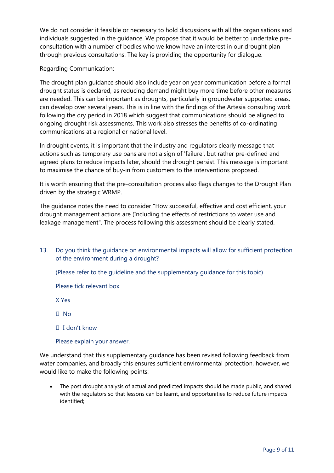We do not consider it feasible or necessary to hold discussions with all the organisations and individuals suggested in the guidance. We propose that it would be better to undertake preconsultation with a number of bodies who we know have an interest in our drought plan through previous consultations. The key is providing the opportunity for dialogue.

Regarding Communication:

The drought plan guidance should also include year on year communication before a formal drought status is declared, as reducing demand might buy more time before other measures are needed. This can be important as droughts, particularly in groundwater supported areas, can develop over several years. This is in line with the findings of the Artesia consulting work following the dry period in 2018 which suggest that communications should be aligned to ongoing drought risk assessments. This work also stresses the benefits of co-ordinating communications at a regional or national level.

In drought events, it is important that the industry and regulators clearly message that actions such as temporary use bans are not a sign of 'failure', but rather pre-defined and agreed plans to reduce impacts later, should the drought persist. This message is important to maximise the chance of buy-in from customers to the interventions proposed.

It is worth ensuring that the pre-consultation process also flags changes to the Drought Plan driven by the strategic WRMP.

The guidance notes the need to consider "How successful, effective and cost efficient, your drought management actions are (Including the effects of restrictions to water use and leakage management". The process following this assessment should be clearly stated.

13. Do you think the guidance on environmental impacts will allow for sufficient protection of the environment during a drought?

(Please refer to the guideline and the supplementary guidance for this topic)

Please tick relevant box

X Yes

 $\Pi$  No

I don't know

Please explain your answer.

We understand that this supplementary guidance has been revised following feedback from water companies, and broadly this ensures sufficient environmental protection, however, we would like to make the following points:

• The post drought analysis of actual and predicted impacts should be made public, and shared with the regulators so that lessons can be learnt, and opportunities to reduce future impacts identified;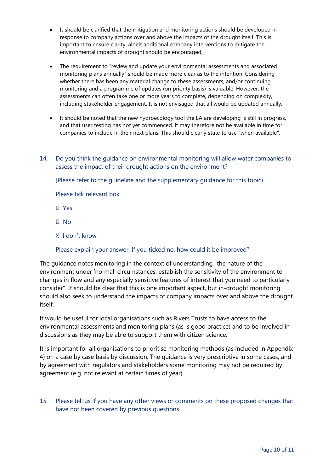- It should be clarified that the mitigation and monitoring actions should be developed in response to company actions over and above the impacts of the drought itself. This is important to ensure clarity, albeit additional company interventions to mitigate the environmental impacts of drought should be encouraged;
- The requirement to "review and update your environmental assessments and associated monitoring plans annually" should be made more clear as to the intention. Considering whether there has been any material change to these assessments, and/or continuing monitoring and a programme of updates (on priority basis) is valuable. However, the assessments can often take one or more years to complete, depending on complexity, including stakeholder engagement. It is not envisaged that all would be updated annually.
- It should be noted that the new hydroecology tool the EA are developing is still in progress, and that user testing has not yet commenced. It may therefore not be available in time for companies to include in their next plans. This should clearly state to use "when available".
- 14. Do you think the guidance on environmental monitoring will allow water companies to assess the impact of their drought actions on the environment?

(Please refer to the guideline and the supplementary guidance for this topic)

Please tick relevant box

- Yes
- $\Box$  No
- X I don't know

#### Please explain your answer. If you ticked no, how could it be improved?

The guidance notes monitoring in the context of understanding "the nature of the environment under 'normal' circumstances, establish the sensitivity of the environment to changes in flow and any especially sensitive features of interest that you need to particularly consider". It should be clear that this is one important aspect, but in-drought monitoring should also seek to understand the impacts of company impacts over and above the drought itself.

It would be useful for local organisations such as Rivers Trusts to have access to the environmental assessments and monitoring plans (as is good practice) and to be involved in discussions as they may be able to support them with citizen science.

It is important for all organisations to prioritise monitoring methods (as included in Appendix 4) on a case by case basis by discussion. The guidance is very prescriptive in some cases, and by agreement with regulators and stakeholders some monitoring may not be required by agreement (e.g. not relevant at certain times of year).

15. Please tell us if you have any other views or comments on these proposed changes that have not been covered by previous questions.